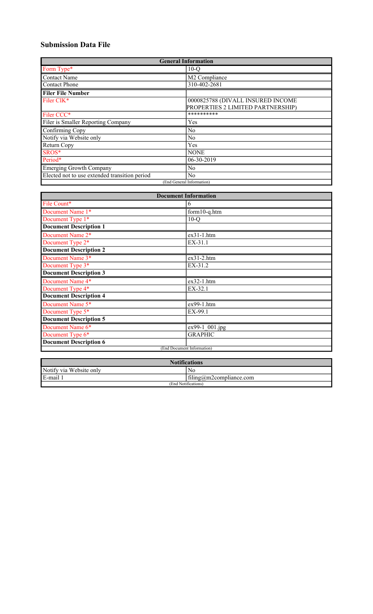# **Submission Data File**

| <b>General Information</b>                    |                                   |  |  |  |  |
|-----------------------------------------------|-----------------------------------|--|--|--|--|
| Form Type*                                    | $10-o$                            |  |  |  |  |
| <b>Contact Name</b>                           | M2 Compliance                     |  |  |  |  |
| <b>Contact Phone</b>                          | 310-402-2681                      |  |  |  |  |
| <b>Filer File Number</b>                      |                                   |  |  |  |  |
| Filer CIK*                                    | 0000825788 (DIVALL INSURED INCOME |  |  |  |  |
|                                               | PROPERTIES 2 LIMITED PARTNERSHIP) |  |  |  |  |
| Filer CCC*                                    | **********                        |  |  |  |  |
| Filer is Smaller Reporting Company            | Yes                               |  |  |  |  |
| Confirming Copy                               | N <sub>o</sub>                    |  |  |  |  |
| Notify via Website only                       | N <sub>o</sub>                    |  |  |  |  |
| Return Copy                                   | Yes                               |  |  |  |  |
| SROS*                                         | <b>NONE</b>                       |  |  |  |  |
| Period*                                       | 06-30-2019                        |  |  |  |  |
| <b>Emerging Growth Company</b>                | N <sub>o</sub>                    |  |  |  |  |
| Elected not to use extended transition period | N <sub>o</sub>                    |  |  |  |  |
|                                               | (End General Information)         |  |  |  |  |

| <b>Document Information</b>   |                            |  |  |  |  |  |
|-------------------------------|----------------------------|--|--|--|--|--|
| File Count*                   | 6                          |  |  |  |  |  |
| Document Name 1*              | $form10-q.htm$             |  |  |  |  |  |
| Document Type 1*              | $10-Q$                     |  |  |  |  |  |
| <b>Document Description 1</b> |                            |  |  |  |  |  |
| Document Name 2*              | $ex31-1.htm$               |  |  |  |  |  |
| Document Type 2*<br>EX-31.1   |                            |  |  |  |  |  |
| <b>Document Description 2</b> |                            |  |  |  |  |  |
| Document Name 3*              | $ex31-2.htm$               |  |  |  |  |  |
| Document Type 3*              | EX-31.2                    |  |  |  |  |  |
| <b>Document Description 3</b> |                            |  |  |  |  |  |
| Document Name 4*              | $ex32-1.htm$               |  |  |  |  |  |
| Document Type 4*              | $EX-32.1$                  |  |  |  |  |  |
| <b>Document Description 4</b> |                            |  |  |  |  |  |
| Document Name 5*              | ex99-1.htm                 |  |  |  |  |  |
| Document Type 5*              | EX-99.1                    |  |  |  |  |  |
| <b>Document Description 5</b> |                            |  |  |  |  |  |
| Document Name 6*              | ex99-1 001.jpg             |  |  |  |  |  |
| Document Type 6*              | <b>GRAPHIC</b>             |  |  |  |  |  |
| <b>Document Description 6</b> |                            |  |  |  |  |  |
|                               | (End Document Information) |  |  |  |  |  |

| <b>Notifications</b>    |                         |  |  |  |  |
|-------------------------|-------------------------|--|--|--|--|
| Notify via Website only | No                      |  |  |  |  |
| E-mail 1                | filing@m2compliance.com |  |  |  |  |
| (End Notifications)     |                         |  |  |  |  |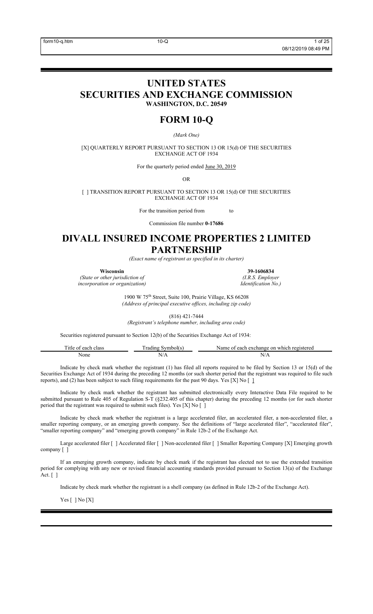# **UNITED STATES SECURITIES AND EXCHANGE COMMISSION WASHINGTON, D.C. 20549**

# **FORM 10-Q**

*(Mark One)*

[X] QUARTERLY REPORT PURSUANT TO SECTION 13 OR 15(d) OF THE SECURITIES EXCHANGE ACT OF 1934

For the quarterly period ended June 30, 2019

OR

[ ] TRANSITION REPORT PURSUANT TO SECTION 13 OR 15(d) OF THE SECURITIES EXCHANGE ACT OF 1934

For the transition period from to

Commission file number **0-17686**

# **DIVALL INSURED INCOME PROPERTIES 2 LIMITED PARTNERSHIP**

*(Exact name of registrant as specified in its charter)*

*(State or other jurisdiction of (I.R.S. Employer incorporation or organization) Identification No.)*

**Wisconsin 39-1606834**

1900 W 75th Street, Suite 100, Prairie Village, KS 66208 *(Address of principal executive offices, including zip code)*

(816) 421-7444

*(Registrant's telephone number, including area code)*

Securities registered pursuant to Section 12(b) of the Securities Exchange Act of 1934:

| Title of <b>c</b><br>∟class<br>each | Symbol(s'<br>rading | า registered<br>e of each exchange on which<br>Name |
|-------------------------------------|---------------------|-----------------------------------------------------|
| None                                | N/L                 | N/A                                                 |

Indicate by check mark whether the registrant (1) has filed all reports required to be filed by Section 13 or 15(d) of the Securities Exchange Act of 1934 during the preceding 12 months (or such shorter period that the registrant was required to file such reports), and (2) has been subject to such filing requirements for the past 90 days. Yes [X] No [ ]

Indicate by check mark whether the registrant has submitted electronically every Interactive Data File required to be submitted pursuant to Rule 405 of Regulation S-T (§232.405 of this chapter) during the preceding 12 months (or for such shorter period that the registrant was required to submit such files). Yes [X] No  $\hat{[}$ ]

Indicate by check mark whether the registrant is a large accelerated filer, an accelerated filer, a non-accelerated filer, a smaller reporting company, or an emerging growth company. See the definitions of "large accelerated filer", "accelerated filer", "smaller reporting company" and "emerging growth company" in Rule 12b-2 of the Exchange Act.

Large accelerated filer [ ] Accelerated filer [ ] Non-accelerated filer [ ] Smaller Reporting Company [X] Emerging growth company [ ]

If an emerging growth company, indicate by check mark if the registrant has elected not to use the extended transition period for complying with any new or revised financial accounting standards provided pursuant to Section 13(a) of the Exchange Act. [ ]

Indicate by check mark whether the registrant is a shell company (as defined in Rule 12b-2 of the Exchange Act).

Yes [ ] No [X]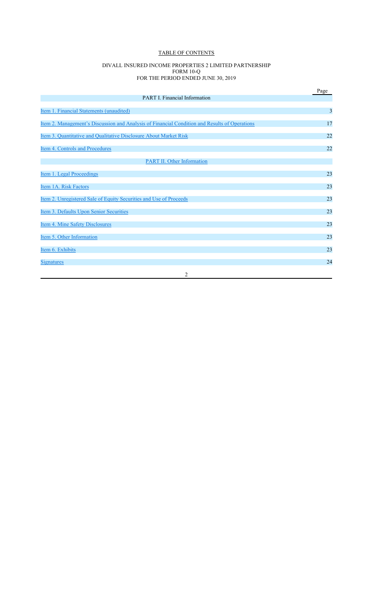# TABLE OF CONTENTS

#### DIVALL INSURED INCOME PROPERTIES 2 LIMITED PARTNERSHIP FORM 10-Q FOR THE PERIOD ENDED JUNE 30, 2019

|                                                                                                      | Page |
|------------------------------------------------------------------------------------------------------|------|
| <b>PART I. Financial Information</b>                                                                 |      |
| Item 1. Financial Statements (unaudited)                                                             | 3    |
| <u>Item 2. Management's Discussion and Analysis of Financial Condition and Results of Operations</u> | 17   |
| Item 3. Quantitative and Qualitative Disclosure About Market Risk                                    | 22   |
| Item 4. Controls and Procedures                                                                      | 22   |
| <b>PART II. Other Information</b>                                                                    |      |
| Item 1. Legal Proceedings                                                                            | 23   |
| Item 1A. Risk Factors                                                                                | 23   |
| Item 2. Unregistered Sale of Equity Securities and Use of Proceeds                                   | 23   |
| Item 3. Defaults Upon Senior Securities                                                              | 23   |
| Item 4. Mine Safety Disclosures                                                                      | 23   |
| Item 5. Other Information                                                                            | 23   |
| Item 6. Exhibits                                                                                     | 23   |
| Signatures                                                                                           | 24   |
| 2                                                                                                    |      |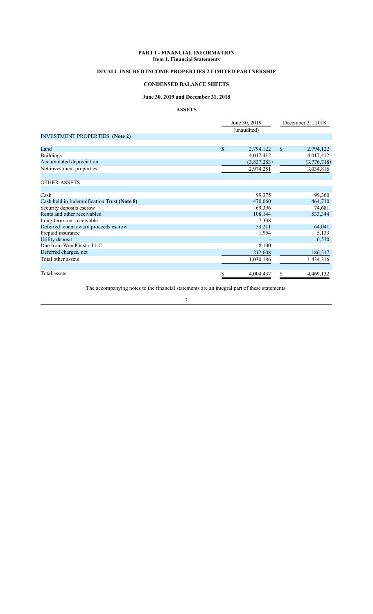# **PART I - FINANCIAL INFORMATION Item 1. Financial Statements**

# **DIVALL INSURED INCOME PROPERTIES 2 LIMITED PARTNERSHIP**

# **CONDENSED BALANCE SHEETS**

# **June 30, 2019 and December 31, 2018**

# **ASSETS**

|                                             | June 30, 2019 |             |    | December 31, 2018 |
|---------------------------------------------|---------------|-------------|----|-------------------|
|                                             |               | (unaudited) |    |                   |
| <b>INVESTMENT PROPERTIES: (Note 2)</b>      |               |             |    |                   |
|                                             |               |             |    |                   |
| Land                                        | $\mathbb{S}$  | 2,794,122   | \$ | 2,794,122         |
| <b>Buildings</b>                            |               | 4,017,412   |    | 4,017,412         |
| Accumulated depreciation                    |               | (3,837,283) |    | (3,776,718)       |
| Net investment properties                   |               | 2,974,251   |    | 3,034,816         |
|                                             |               |             |    |                   |
| <b>OTHER ASSETS:</b>                        |               |             |    |                   |
|                                             |               |             |    |                   |
| Cash                                        |               | 99,375      |    | 99,360            |
| Cash held in Indemnification Trust (Note 8) |               | 470,060     |    | 464,710           |
| Security deposits escrow                    |               | 69,396      |    | 74,681            |
| Rents and other receivables                 |               | 108,144     |    | 533,344           |
| Long-term rent receivable                   |               | 7,338       |    |                   |
| Deferred tenant award proceeds escrow       |               | 53,211      |    | 64,041            |
| Prepaid insurance                           |               | 1,954       |    | 5,133             |
| Utility deposit                             |               |             |    | 6,530             |
| Due from WendGusta, LLC                     |               | 8,100       |    |                   |
| Deferred charges, net                       |               | 212,608     |    | 186,517           |
| Total other assets                          |               | 1,030,186   |    | 1,434,316         |
|                                             |               |             |    |                   |
| Total assets                                | \$            | 4,004,437   | \$ | 4,469,132         |

The accompanying notes to the financial statements are an integral part of these statements.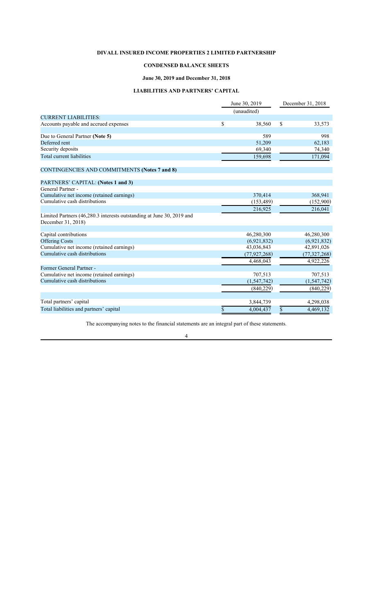# **CONDENSED BALANCE SHEETS**

# **June 30, 2019 and December 31, 2018**

# **LIABILITIES AND PARTNERS' CAPITAL**

|                                                                                             | June 30, 2019   | December 31, 2018 |                |  |
|---------------------------------------------------------------------------------------------|-----------------|-------------------|----------------|--|
|                                                                                             | (unaudited)     |                   |                |  |
| <b>CURRENT LIABILITIES:</b>                                                                 |                 |                   |                |  |
| Accounts payable and accrued expenses                                                       | \$<br>38,560    | \$                | 33,573         |  |
|                                                                                             |                 |                   |                |  |
| Due to General Partner (Note 5)                                                             | 589             |                   | 998            |  |
| Deferred rent                                                                               | 51,209          |                   | 62,183         |  |
| Security deposits                                                                           | 69,340          |                   | 74,340         |  |
| Total current liabilities                                                                   | 159,698         |                   | 171,094        |  |
| <b>CONTINGENCIES AND COMMITMENTS (Notes 7 and 8)</b>                                        |                 |                   |                |  |
| PARTNERS' CAPITAL: (Notes 1 and 3)                                                          |                 |                   |                |  |
| General Partner -                                                                           |                 |                   |                |  |
| Cumulative net income (retained earnings)                                                   | 370,414         |                   | 368,941        |  |
| Cumulative cash distributions                                                               | (153, 489)      |                   | (152,900)      |  |
|                                                                                             | 216,925         |                   | 216,041        |  |
| Limited Partners (46,280.3 interests outstanding at June 30, 2019 and<br>December 31, 2018) |                 |                   |                |  |
|                                                                                             |                 |                   |                |  |
| Capital contributions                                                                       | 46,280,300      |                   | 46,280,300     |  |
| <b>Offering Costs</b>                                                                       | (6,921,832)     |                   | (6,921,832)    |  |
| Cumulative net income (retained earnings)                                                   | 43,036,843      |                   | 42,891,026     |  |
| Cumulative cash distributions                                                               | (77, 927, 268)  |                   | (77, 327, 268) |  |
|                                                                                             | 4,468,043       |                   | 4,922,226      |  |
| Former General Partner -                                                                    |                 |                   |                |  |
| Cumulative net income (retained earnings)                                                   | 707,513         |                   | 707,513        |  |
| Cumulative cash distributions                                                               | (1, 547, 742)   |                   | (1,547,742)    |  |
|                                                                                             | (840,229)       |                   | (840, 229)     |  |
| Total partners' capital                                                                     | 3,844,739       |                   | 4,298,038      |  |
|                                                                                             |                 |                   |                |  |
| Total liabilities and partners' capital                                                     | \$<br>4,004,437 | \$                | 4,469,132      |  |

The accompanying notes to the financial statements are an integral part of these statements.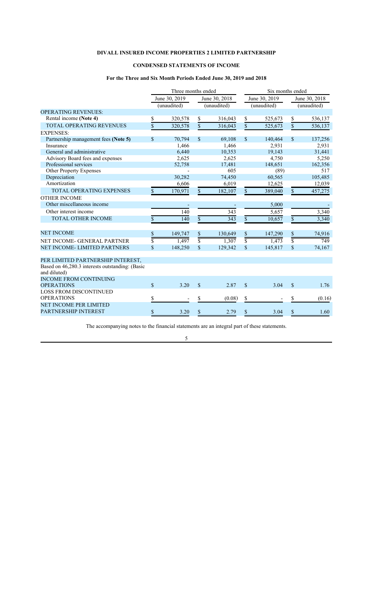# **CONDENSED STATEMENTS OF INCOME**

# **For the Three and Six Month Periods Ended June 30, 2019 and 2018**

|                                                 | Three months ended      |               |                         |               | Six months ended        |               |                |               |  |
|-------------------------------------------------|-------------------------|---------------|-------------------------|---------------|-------------------------|---------------|----------------|---------------|--|
|                                                 |                         | June 30, 2019 |                         | June 30, 2018 |                         | June 30, 2019 |                | June 30, 2018 |  |
|                                                 |                         | (unaudited)   |                         | (unaudited)   |                         | (unaudited)   |                | (unaudited)   |  |
| <b>OPERATING REVENUES:</b>                      |                         |               |                         |               |                         |               |                |               |  |
| Rental income (Note 4)                          | \$                      | 320,578       | \$                      | 316,043       | \$                      | 525,673       | \$             | 536,137       |  |
| <b>TOTAL OPERATING REVENUES</b>                 | $\overline{\mathbb{S}}$ | 320,578       | $\overline{\mathbb{S}}$ | 316,043       | $\overline{\mathbb{S}}$ | 525,673       | $\mathbf{s}$   | 536,137       |  |
| <b>EXPENSES:</b>                                |                         |               |                         |               |                         |               |                |               |  |
| Partnership management fees (Note 5)            | $\mathbf{\$}$           | 70,794        | $\mathbb{S}$            | 69,108        | \$                      | 140,464       | $\mathbb{S}$   | 137,256       |  |
| Insurance                                       |                         | 1,466         |                         | 1,466         |                         | 2,931         |                | 2,931         |  |
| General and administrative                      |                         | 6,440         |                         | 10,353        |                         | 19,143        |                | 31,441        |  |
| Advisory Board fees and expenses                |                         | 2,625         |                         | 2,625         |                         | 4,750         |                | 5,250         |  |
| Professional services                           |                         | 52,758        |                         | 17,481        |                         | 148,651       |                | 162,356       |  |
| Other Property Expenses                         |                         |               |                         | 605           |                         | (89)          |                | 517           |  |
| Depreciation                                    |                         | 30.282        |                         | 74,450        |                         | 60,565        |                | 105,485       |  |
| Amortization                                    |                         | 6,606         |                         | 6,019         |                         | 12,625        |                | 12,039        |  |
| TOTAL OPERATING EXPENSES                        | \$                      | 170,971       | \$                      | 182,107       | \$                      | 389,040       | $\mathbb{S}$   | 457,275       |  |
| <b>OTHER INCOME</b>                             |                         |               |                         |               |                         |               |                |               |  |
| Other miscellaneous income                      |                         |               |                         |               |                         | 5,000         |                |               |  |
| Other interest income                           |                         | 140           |                         | 343           |                         | 5.657         |                | 3,340         |  |
| TOTAL OTHER INCOME                              | \$                      | 140           | \$                      | 343           | \$                      | 10,657        | $\mathbb{S}$   | 3,340         |  |
|                                                 |                         |               |                         |               |                         |               |                |               |  |
| <b>NET INCOME</b>                               | \$                      | 149,747       | \$                      | 130,649       | \$                      | 147,290       | \$             | 74,916        |  |
| NET INCOME- GENERAL PARTNER                     | $\overline{\$}$         | 1,497         | $\overline{\mathbb{S}}$ | 1,307         | $\overline{\mathbb{S}}$ | 1,473         | $\overline{s}$ | 749           |  |
| NET INCOME-LIMITED PARTNERS                     | \$                      | 148,250       | \$                      | 129,342       | \$                      | 145,817       | \$             | 74,167        |  |
| PER LIMITED PARTNERSHIP INTEREST,               |                         |               |                         |               |                         |               |                |               |  |
| Based on 46,280.3 interests outstanding: (Basic |                         |               |                         |               |                         |               |                |               |  |
| and diluted)                                    |                         |               |                         |               |                         |               |                |               |  |
| <b>INCOME FROM CONTINUING</b>                   |                         |               |                         |               |                         |               |                |               |  |
| <b>OPERATIONS</b>                               | \$                      | 3.20          | $\mathbb{S}$            | 2.87          | $\mathbf S$             | 3.04          | $\mathbb{S}$   | 1.76          |  |
| <b>LOSS FROM DISCONTINUED</b>                   |                         |               |                         |               |                         |               |                |               |  |
| <b>OPERATIONS</b>                               | \$                      |               | \$                      | (0.08)        | \$                      |               | \$             | (0.16)        |  |
| <b>NET INCOME PER LIMITED</b>                   |                         |               |                         |               |                         |               |                |               |  |
| <b>PARTNERSHIP INTEREST</b>                     | \$                      | 3.20          | \$                      | 2.79          | \$                      | 3.04          | S              | 1.60          |  |

The accompanying notes to the financial statements are an integral part of these statements.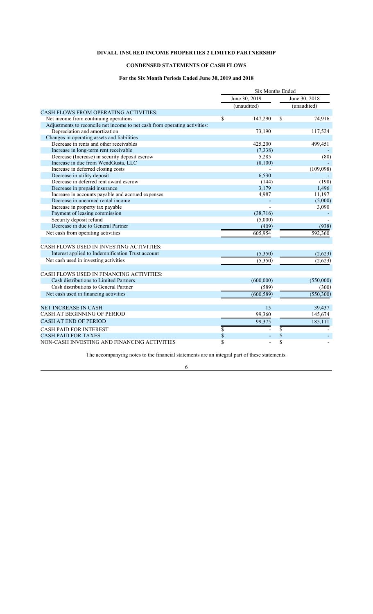# **CONDENSED STATEMENTS OF CASH FLOWS**

# **For the Six Month Periods Ended June 30, 2019 and 2018**

|                                                                            | Six Months Ended |               |               |            |  |
|----------------------------------------------------------------------------|------------------|---------------|---------------|------------|--|
|                                                                            |                  | June 30, 2019 | June 30, 2018 |            |  |
|                                                                            |                  | (unaudited)   | (unaudited)   |            |  |
| <b>CASH FLOWS FROM OPERATING ACTIVITIES:</b>                               |                  |               |               |            |  |
| Net income from continuing operations                                      | \$               | 147,290       | \$            | 74,916     |  |
| Adjustments to reconcile net income to net cash from operating activities: |                  |               |               |            |  |
| Depreciation and amortization                                              |                  | 73,190        |               | 117,524    |  |
| Changes in operating assets and liabilities                                |                  |               |               |            |  |
| Decrease in rents and other receivables                                    |                  | 425,200       |               | 499,451    |  |
| Increase in long-term rent receivable                                      |                  | (7, 338)      |               |            |  |
| Decrease (Increase) in security deposit escrow                             |                  | 5,285         |               | (80)       |  |
| Increase in due from WendGusta, LLC                                        |                  | (8,100)       |               |            |  |
| Increase in deferred closing costs                                         |                  |               |               | (109,098)  |  |
| Decrease in utility deposit                                                |                  | 6.530         |               |            |  |
| Decrease in deferred rent award escrow                                     |                  | (144)         |               | (198)      |  |
| Decrease in prepaid insurance                                              |                  | 3,179         |               | 1,496      |  |
| Increase in accounts payable and accrued expenses                          |                  | 4,987         |               | 11,197     |  |
| Decrease in unearned rental income                                         |                  |               |               | (5,000)    |  |
| Increase in property tax payable                                           |                  |               |               | 3,090      |  |
| Payment of leasing commission                                              |                  | (38,716)      |               |            |  |
| Security deposit refund                                                    |                  | (5,000)       |               |            |  |
| Decrease in due to General Partner                                         |                  | (409)         |               | (938)      |  |
| Net cash from operating activities                                         |                  | 605,954       |               | 592,360    |  |
|                                                                            |                  |               |               |            |  |
| CASH FLOWS USED IN INVESTING ACTIVITIES:                                   |                  |               |               |            |  |
| Interest applied to Indemnification Trust account                          |                  | (5,350)       |               | (2,623)    |  |
| Net cash used in investing activities                                      |                  | (5,350)       |               | (2,623)    |  |
|                                                                            |                  |               |               |            |  |
| CASH FLOWS USED IN FINANCING ACTIVITIES:                                   |                  |               |               |            |  |
| Cash distributions to Limited Partners                                     |                  | (600,000)     |               | (550,000)  |  |
| Cash distributions to General Partner                                      |                  | (589)         |               | (300)      |  |
| Net cash used in financing activities                                      |                  | (600, 589)    |               | (550, 300) |  |
|                                                                            |                  |               |               |            |  |
| <b>NET INCREASE IN CASH</b>                                                |                  | 15            |               | 39,437     |  |
| <b>CASH AT BEGINNING OF PERIOD</b>                                         |                  | 99,360        |               | 145,674    |  |
| <b>CASH AT END OF PERIOD</b>                                               |                  | 99,375        |               | 185,111    |  |
| <b>CASH PAID FOR INTEREST</b>                                              | \$               |               | \$            |            |  |
| <b>CASH PAID FOR TAXES</b>                                                 | \$               |               | \$            |            |  |
| NON-CASH INVESTING AND FINANCING ACTIVITIES                                | \$               |               | \$            |            |  |
|                                                                            |                  |               |               |            |  |

The accompanying notes to the financial statements are an integral part of these statements.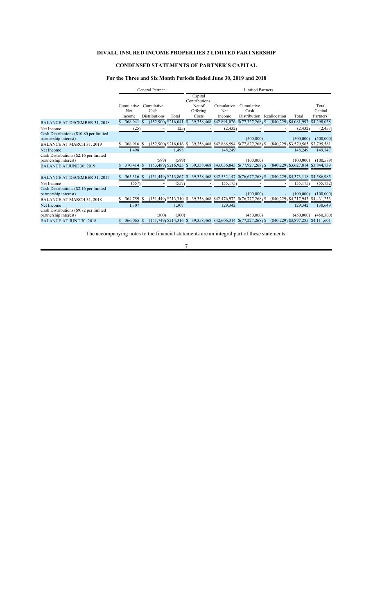# **CONDENSED STATEMENTS OF PARTNER'S CAPITAL**

# **For the Three and Six Month Periods Ended June 30, 2019 and 2018**

|                                                                  |                 | General Partner |                          | <b>Limited Partners</b>   |                         |                                           |            |                          |             |
|------------------------------------------------------------------|-----------------|-----------------|--------------------------|---------------------------|-------------------------|-------------------------------------------|------------|--------------------------|-------------|
|                                                                  |                 |                 |                          | Capital<br>Contributions, |                         |                                           |            |                          |             |
|                                                                  | Cumulative      | Cumulative      |                          | Net of                    | Cumulative              | Cumulative                                |            |                          | Total       |
|                                                                  | Net             | Cash            |                          | Offering                  | Net                     | Cash                                      |            |                          | Capital     |
|                                                                  | Income          | Distributions   | Total                    | Costs                     | Income                  | Distribution Reallocation                 |            | Total                    | Partners'   |
| BALANCE AT DECEMBER 31, 2018                                     | 368,941         |                 | $(152,900)$ \$216,041    | 39,358,468                | \$42,891,026            | $$(77,327,268)$ \\$                       | (840, 229) | \$4,081,997              | \$4,298,038 |
| Net Income                                                       | (25)            |                 | (25)                     |                           | (2, 432)                |                                           |            | (2, 432)                 | (2, 457)    |
| Cash Distributions (\$10.80 per limited<br>partnership interest) |                 |                 |                          |                           |                         | (500,000)                                 |            | (500,000)                | (500,000)   |
| BALANCE AT MARCH 31, 2019                                        | 368,916 \$      |                 | $(152,900)$ \$216,016 \$ |                           | 39,358,468 \$42,888,594 | $$(77,827,268)$ \\$                       |            | $(840, 229)$ \$3,579,565 | \$3,795,581 |
| Net Income                                                       | 1,498           |                 | 1,498                    |                           | 148,249                 |                                           |            | 148,249                  | 149,747     |
| Cash Distributions (\$2.16 per limited<br>partnership interest)  |                 | (589)           | (589)                    |                           |                         | (100,000)                                 |            | (100,000)                | (100, 589)  |
| <b>BALANCE ATJUNE 30, 2019</b>                                   | 370,414 \$      |                 | $(153,489)$ \$216,925    | <sup>\$</sup>             | 39,358,468 \$43,036,843 | \$(77,927,268)                            |            | $(840, 229)$ \$3,627,814 | \$3,844,739 |
|                                                                  |                 |                 |                          |                           |                         |                                           |            |                          |             |
| <b>BALANCE AT DECEMBER 31, 2017</b>                              | 365,316 \$      |                 | $(151,449)$ \$213,867 \$ |                           |                         | 39,358,468 \$42,532,147 \$(76,677,268) \$ |            | $(840, 229)$ \$4,373,118 | \$4,586,985 |
| Net Income                                                       | (557)           |                 | (557)                    |                           | (55, 175)               |                                           |            | (55, 175)                | (55, 732)   |
| Cash Distributions (\$2.16 per limited<br>partnership interest)  |                 |                 |                          |                           |                         | (100,000)                                 |            | (100,000)                | (100,000)   |
| BALANCE AT MARCH 31, 2018                                        | 364,759 \$      |                 | $(151,449)$ \$213,310 \$ |                           | 39,358,468 \$42,476,972 | $$(76,777,268)$ \\$                       |            | $(840, 229)$ \$4,217,943 | \$4,431,253 |
| Net Income                                                       | 1,307           |                 | 1,307                    |                           | 129,342                 |                                           |            | 129,342                  | 130,649     |
| Cash Distributions (\$9.72 per limited<br>partnership interest)  |                 | (300)           | (300)                    |                           |                         | (450,000)                                 |            | (450,000)                | (450,300)   |
| <b>BALANCE AT JUNE 30, 2018</b>                                  | 366,065 \$<br>S |                 | $(151,749)$ \$214,316    | <sup>3</sup>              | 39,358,468 \$42,606,314 | \$(77,227,268)                            |            | $(840, 229)$ \$3,897,285 | \$4,111,601 |
|                                                                  |                 |                 |                          |                           |                         |                                           |            |                          |             |

The accompanying notes to the financial statements are an integral part of these statements.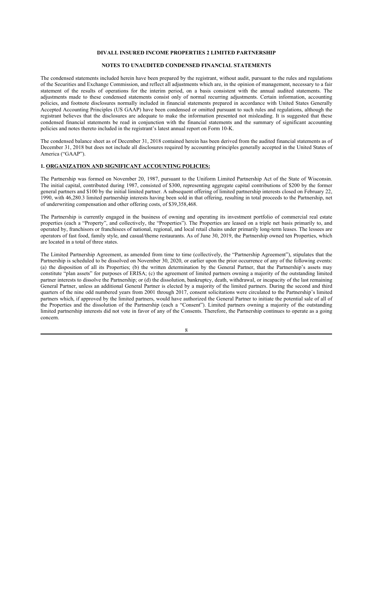## **NOTES TO UNAUDITED CONDENSED FINANCIAL STATEMENTS**

The condensed statements included herein have been prepared by the registrant, without audit, pursuant to the rules and regulations of the Securities and Exchange Commission, and reflect all adjustments which are, in the opinion of management, necessary to a fair statement of the results of operations for the interim period, on a basis consistent with the annual audited statements. The adjustments made to these condensed statements consist only of normal recurring adjustments. Certain information, accounting policies, and footnote disclosures normally included in financial statements prepared in accordance with United States Generally Accepted Accounting Principles (US GAAP) have been condensed or omitted pursuant to such rules and regulations, although the registrant believes that the disclosures are adequate to make the information presented not misleading. It is suggested that these condensed financial statements be read in conjunction with the financial statements and the summary of significant accounting policies and notes thereto included in the registrant's latest annual report on Form 10-K.

The condensed balance sheet as of December 31, 2018 contained herein has been derived from the audited financial statements as of December 31, 2018 but does not include all disclosures required by accounting principles generally accepted in the United States of America ("GAAP").

## **1. ORGANIZATION AND SIGNIFICANT ACCOUNTING POLICIES:**

The Partnership was formed on November 20, 1987, pursuant to the Uniform Limited Partnership Act of the State of Wisconsin. The initial capital, contributed during 1987, consisted of \$300, representing aggregate capital contributions of \$200 by the former general partners and \$100 by the initial limited partner. A subsequent offering of limited partnership interests closed on February 22, 1990, with 46,280.3 limited partnership interests having been sold in that offering, resulting in total proceeds to the Partnership, net of underwriting compensation and other offering costs, of \$39,358,468.

The Partnership is currently engaged in the business of owning and operating its investment portfolio of commercial real estate properties (each a "Property", and collectively, the "Properties"). The Properties are leased on a triple net basis primarily to, and operated by, franchisors or franchisees of national, regional, and local retail chains under primarily long-term leases. The lessees are operators of fast food, family style, and casual/theme restaurants. As of June 30, 2019, the Partnership owned ten Properties, which are located in a total of three states.

The Limited Partnership Agreement, as amended from time to time (collectively, the "Partnership Agreement"), stipulates that the Partnership is scheduled to be dissolved on November 30, 2020, or earlier upon the prior occurrence of any of the following events: (a) the disposition of all its Properties; (b) the written determination by the General Partner, that the Partnership's assets may constitute "plan assets" for purposes of ERISA; (c) the agreement of limited partners owning a majority of the outstanding limited partner interests to dissolve the Partnership; or (d) the dissolution, bankruptcy, death, withdrawal, or incapacity of the last remaining General Partner, unless an additional General Partner is elected by a majority of the limited partners. During the second and third quarters of the nine odd numbered years from 2001 through 2017, consent solicitations were circulated to the Partnership's limited partners which, if approved by the limited partners, would have authorized the General Partner to initiate the potential sale of all of the Properties and the dissolution of the Partnership (each a "Consent"). Limited partners owning a majority of the outstanding limited partnership interests did not vote in favor of any of the Consents. Therefore, the Partnership continues to operate as a going concern.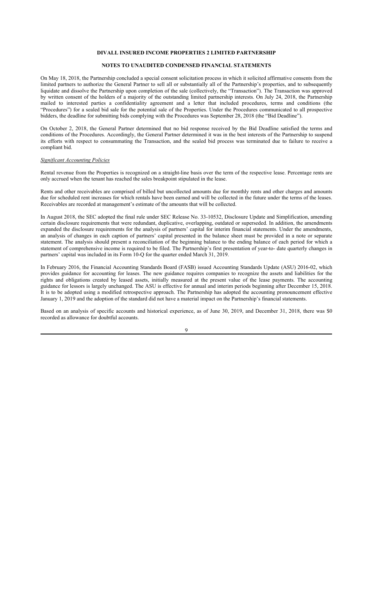## **NOTES TO UNAUDITED CONDENSED FINANCIAL STATEMENTS**

On May 18, 2018, the Partnership concluded a special consent solicitation process in which it solicited affirmative consents from the limited partners to authorize the General Partner to sell all or substantially all of the Partnership's properties, and to subsequently liquidate and dissolve the Partnership upon completion of the sale (collectively, the "Transaction"). The Transaction was approved by written consent of the holders of a majority of the outstanding limited partnership interests. On July 24, 2018, the Partnership mailed to interested parties a confidentiality agreement and a letter that included procedures, terms and conditions (the "Procedures") for a sealed bid sale for the potential sale of the Properties. Under the Procedures communicated to all prospective bidders, the deadline for submitting bids complying with the Procedures was September 28, 2018 (the "Bid Deadline").

On October 2, 2018, the General Partner determined that no bid response received by the Bid Deadline satisfied the terms and conditions of the Procedures. Accordingly, the General Partner determined it was in the best interests of the Partnership to suspend its efforts with respect to consummating the Transaction, and the sealed bid process was terminated due to failure to receive a compliant bid.

#### *Significant Accounting Policies*

Rental revenue from the Properties is recognized on a straight-line basis over the term of the respective lease. Percentage rents are only accrued when the tenant has reached the sales breakpoint stipulated in the lease.

Rents and other receivables are comprised of billed but uncollected amounts due for monthly rents and other charges and amounts due for scheduled rent increases for which rentals have been earned and will be collected in the future under the terms of the leases. Receivables are recorded at management's estimate of the amounts that will be collected.

In August 2018, the SEC adopted the final rule under SEC Release No. 33-10532, Disclosure Update and Simplification, amending certain disclosure requirements that were redundant, duplicative, overlapping, outdated or superseded. In addition, the amendments expanded the disclosure requirements for the analysis of partners' capital for interim financial statements. Under the amendments, an analysis of changes in each caption of partners' capital presented in the balance sheet must be provided in a note or separate statement. The analysis should present a reconciliation of the beginning balance to the ending balance of each period for which a statement of comprehensive income is required to be filed. The Partnership's first presentation of year-to- date quarterly changes in partners' capital was included in its Form 10-Q for the quarter ended March 31, 2019.

In February 2016, the Financial Accounting Standards Board (FASB) issued Accounting Standards Update (ASU) 2016-02, which provides guidance for accounting for leases. The new guidance requires companies to recognize the assets and liabilities for the rights and obligations created by leased assets, initially measured at the present value of the lease payments. The accounting guidance for lessors is largely unchanged. The ASU is effective for annual and interim periods beginning after December 15, 2018. It is to be adopted using a modified retrospective approach. The Partnership has adopted the accounting pronouncement effective January 1, 2019 and the adoption of the standard did not have a material impact on the Partnership's financial statements.

Based on an analysis of specific accounts and historical experience, as of June 30, 2019, and December 31, 2018, there was \$0 recorded as allowance for doubtful accounts.

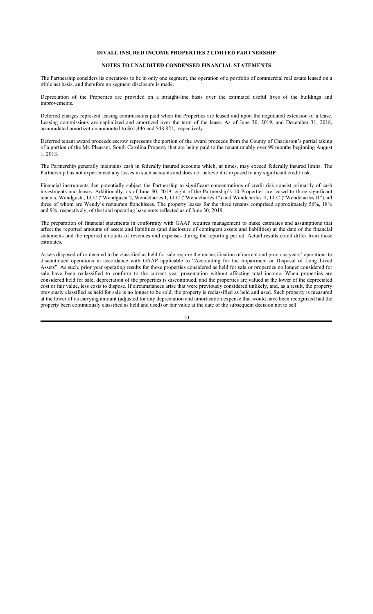## **NOTES TO UNAUDITED CONDENSED FINANCIAL STATEMENTS**

The Partnership considers its operations to be in only one segment, the operation of a portfolio of commercial real estate leased on a triple net basis, and therefore no segment disclosure is made.

Depreciation of the Properties are provided on a straight-line basis over the estimated useful lives of the buildings and improvements.

Deferred charges represent leasing commissions paid when the Properties are leased and upon the negotiated extension of a lease. Leasing commissions are capitalized and amortized over the term of the lease. As of June 30, 2019, and December 31, 2018, accumulated amortization amounted to \$61,446 and \$48,821, respectively.

Deferred tenant award proceeds escrow represents the portion of the award proceeds from the County of Charleston's partial taking of a portion of the Mt. Pleasant, South Carolina Property that are being paid to the tenant ratably over 99 months beginning August 1, 2013.

The Partnership generally maintains cash in federally insured accounts which, at times, may exceed federally insured limits. The Partnership has not experienced any losses in such accounts and does not believe it is exposed to any significant credit risk.

Financial instruments that potentially subject the Partnership to significant concentrations of credit risk consist primarily of cash investments and leases. Additionally, as of June 30, 2019, eight of the Partnership's 10 Properties are leased to three significant tenants, Wendgusta, LLC ("Wendgusta"), Wendcharles I, LLC ("Wendcharles I") and Wendcharles II, LLC ("Wendcharles II"), all three of whom are Wendy's restaurant franchisees. The property leases for the three tenants comprised approximately 56%, 18% and 9%, respectively, of the total operating base rents reflected as of June 30, 2019.

The preparation of financial statements in conformity with GAAP requires management to make estimates and assumptions that affect the reported amounts of assets and liabilities (and disclosure of contingent assets and liabilities) at the date of the financial statements and the reported amounts of revenues and expenses during the reporting period. Actual results could differ from those estimates.

Assets disposed of or deemed to be classified as held for sale require the reclassification of current and previous years' operations to discontinued operations in accordance with GAAP applicable to "Accounting for the Impairment or Disposal of Long Lived Assets". As such, prior year operating results for those properties considered as held for sale or properties no longer considered for sale have been reclassified to conform to the current year presentation without affecting total income. When properties are considered held for sale, depreciation of the properties is discontinued, and the properties are valued at the lower of the depreciated cost or fair value, less costs to dispose. If circumstances arise that were previously considered unlikely, and, as a result, the property previously classified as held for sale is no longer to be sold, the property is reclassified as held and used. Such property is measured at the lower of its carrying amount (adjusted for any depreciation and amortization expense that would have been recognized had the property been continuously classified as held and used) or fair value at the date of the subsequent decision not to sell.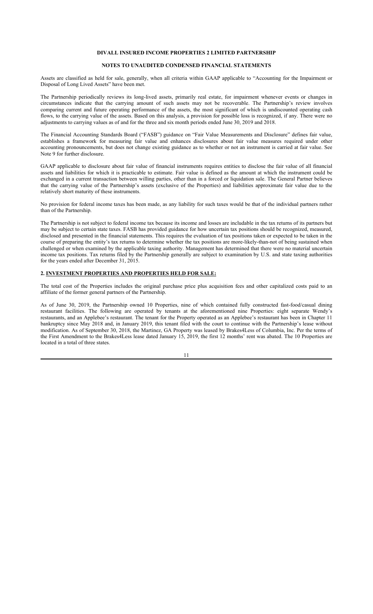# **NOTES TO UNAUDITED CONDENSED FINANCIAL STATEMENTS**

Assets are classified as held for sale, generally, when all criteria within GAAP applicable to "Accounting for the Impairment or Disposal of Long Lived Assets" have been met.

The Partnership periodically reviews its long-lived assets, primarily real estate, for impairment whenever events or changes in circumstances indicate that the carrying amount of such assets may not be recoverable. The Partnership's review involves comparing current and future operating performance of the assets, the most significant of which is undiscounted operating cash flows, to the carrying value of the assets. Based on this analysis, a provision for possible loss is recognized, if any. There were no adjustments to carrying values as of and for the three and six month periods ended June 30, 2019 and 2018.

The Financial Accounting Standards Board ("FASB") guidance on "Fair Value Measurements and Disclosure" defines fair value, establishes a framework for measuring fair value and enhances disclosures about fair value measures required under other accounting pronouncements, but does not change existing guidance as to whether or not an instrument is carried at fair value. See Note 9 for further disclosure.

GAAP applicable to disclosure about fair value of financial instruments requires entities to disclose the fair value of all financial assets and liabilities for which it is practicable to estimate. Fair value is defined as the amount at which the instrument could be exchanged in a current transaction between willing parties, other than in a forced or liquidation sale. The General Partner believes that the carrying value of the Partnership's assets (exclusive of the Properties) and liabilities approximate fair value due to the relatively short maturity of these instruments.

No provision for federal income taxes has been made, as any liability for such taxes would be that of the individual partners rather than of the Partnership.

The Partnership is not subject to federal income tax because its income and losses are includable in the tax returns of its partners but may be subject to certain state taxes. FASB has provided guidance for how uncertain tax positions should be recognized, measured, disclosed and presented in the financial statements. This requires the evaluation of tax positions taken or expected to be taken in the course of preparing the entity's tax returns to determine whether the tax positions are more-likely-than-not of being sustained when challenged or when examined by the applicable taxing authority. Management has determined that there were no material uncertain income tax positions. Tax returns filed by the Partnership generally are subject to examination by U.S. and state taxing authorities for the years ended after December 31, 2015.

## **2. INVESTMENT PROPERTIES AND PROPERTIES HELD FOR SALE:**

The total cost of the Properties includes the original purchase price plus acquisition fees and other capitalized costs paid to an affiliate of the former general partners of the Partnership.

As of June 30, 2019, the Partnership owned 10 Properties, nine of which contained fully constructed fast-food/casual dining restaurant facilities. The following are operated by tenants at the aforementioned nine Properties: eight separate Wendy's restaurants, and an Applebee's restaurant. The tenant for the Property operated as an Applebee's restaurant has been in Chapter 11 bankruptcy since May 2018 and, in January 2019, this tenant filed with the court to continue with the Partnership's lease without modification. As of September 30, 2018, the Martinez, GA Property was leased by Brakes4Less of Columbia, Inc. Per the terms of the First Amendment to the Brakes4Less lease dated January 15, 2019, the first 12 months' rent was abated. The 10 Properties are located in a total of three states.

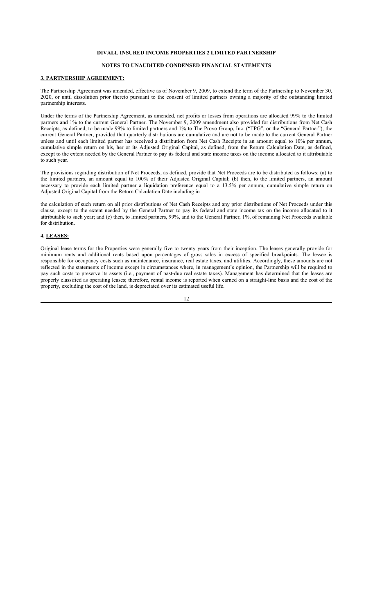## **NOTES TO UNAUDITED CONDENSED FINANCIAL STATEMENTS**

## **3. PARTNERSHIP AGREEMENT:**

The Partnership Agreement was amended, effective as of November 9, 2009, to extend the term of the Partnership to November 30, 2020, or until dissolution prior thereto pursuant to the consent of limited partners owning a majority of the outstanding limited partnership interests.

Under the terms of the Partnership Agreement, as amended, net profits or losses from operations are allocated 99% to the limited partners and 1% to the current General Partner. The November 9, 2009 amendment also provided for distributions from Net Cash Receipts, as defined, to be made 99% to limited partners and 1% to The Provo Group, Inc. ("TPG", or the "General Partner"), the current General Partner, provided that quarterly distributions are cumulative and are not to be made to the current General Partner unless and until each limited partner has received a distribution from Net Cash Receipts in an amount equal to 10% per annum, cumulative simple return on his, her or its Adjusted Original Capital, as defined, from the Return Calculation Date, as defined, except to the extent needed by the General Partner to pay its federal and state income taxes on the income allocated to it attributable to such year.

The provisions regarding distribution of Net Proceeds, as defined, provide that Net Proceeds are to be distributed as follows: (a) to the limited partners, an amount equal to 100% of their Adjusted Original Capital; (b) then, to the limited partners, an amount necessary to provide each limited partner a liquidation preference equal to a 13.5% per annum, cumulative simple return on Adjusted Original Capital from the Return Calculation Date including in

the calculation of such return on all prior distributions of Net Cash Receipts and any prior distributions of Net Proceeds under this clause, except to the extent needed by the General Partner to pay its federal and state income tax on the income allocated to it attributable to such year; and (c) then, to limited partners, 99%, and to the General Partner, 1%, of remaining Net Proceeds available for distribution.

## **4. LEASES:**

Original lease terms for the Properties were generally five to twenty years from their inception. The leases generally provide for minimum rents and additional rents based upon percentages of gross sales in excess of specified breakpoints. The lessee is responsible for occupancy costs such as maintenance, insurance, real estate taxes, and utilities. Accordingly, these amounts are not reflected in the statements of income except in circumstances where, in management's opinion, the Partnership will be required to pay such costs to preserve its assets (i.e., payment of past-due real estate taxes). Management has determined that the leases are properly classified as operating leases; therefore, rental income is reported when earned on a straight-line basis and the cost of the property, excluding the cost of the land, is depreciated over its estimated useful life.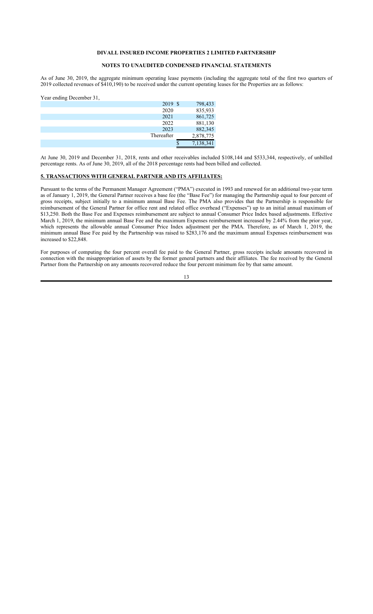## **NOTES TO UNAUDITED CONDENSED FINANCIAL STATEMENTS**

As of June 30, 2019, the aggregate minimum operating lease payments (including the aggregate total of the first two quarters of 2019 collected revenues of \$410,190) to be received under the current operating leases for the Properties are as follows:

|                          |            | 7,138,341 |
|--------------------------|------------|-----------|
|                          | Thereafter | 2,878,775 |
|                          | 2023       | 882,345   |
|                          | 2022       | 881,130   |
|                          | 2021       | 861,725   |
|                          | 2020       | 835,933   |
|                          | 2019 \$    | 798,433   |
| Year ending December 31, |            |           |

At June 30, 2019 and December 31, 2018, rents and other receivables included \$108,144 and \$533,344, respectively, of unbilled percentage rents. As of June 30, 2019, all of the 2018 percentage rents had been billed and collected.

## **5. TRANSACTIONS WITH GENERAL PARTNER AND ITS AFFILIATES:**

Pursuant to the terms of the Permanent Manager Agreement ("PMA") executed in 1993 and renewed for an additional two-year term as of January 1, 2019, the General Partner receives a base fee (the "Base Fee") for managing the Partnership equal to four percent of gross receipts, subject initially to a minimum annual Base Fee. The PMA also provides that the Partnership is responsible for reimbursement of the General Partner for office rent and related office overhead ("Expenses") up to an initial annual maximum of \$13,250. Both the Base Fee and Expenses reimbursement are subject to annual Consumer Price Index based adjustments. Effective March 1, 2019, the minimum annual Base Fee and the maximum Expenses reimbursement increased by 2.44% from the prior year, which represents the allowable annual Consumer Price Index adjustment per the PMA. Therefore, as of March 1, 2019, the minimum annual Base Fee paid by the Partnership was raised to \$283,176 and the maximum annual Expenses reimbursement was increased to \$22,848.

For purposes of computing the four percent overall fee paid to the General Partner, gross receipts include amounts recovered in connection with the misappropriation of assets by the former general partners and their affiliates. The fee received by the General Partner from the Partnership on any amounts recovered reduce the four percent minimum fee by that same amount.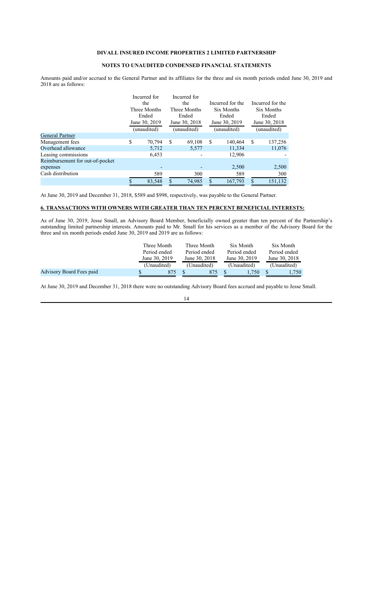# **NOTES TO UNAUDITED CONDENSED FINANCIAL STATEMENTS**

Amounts paid and/or accrued to the General Partner and its affiliates for the three and six month periods ended June 30, 2019 and 2018 are as follows:

|                                 | Incurred for<br>Incurred for<br>the<br>the<br>Three Months<br>Three Months<br>Ended<br>Ended<br>June 30, 2019<br>June 30, 2018<br>(unaudited)<br>(unaudited) |    | Incurred for the<br>Six Months<br>Ended<br>June 30, 2019 |    | (unaudited) | Incurred for the<br>Six Months<br>Ended<br>June 30, 2018<br>(unaudited) |         |
|---------------------------------|--------------------------------------------------------------------------------------------------------------------------------------------------------------|----|----------------------------------------------------------|----|-------------|-------------------------------------------------------------------------|---------|
| General Partner                 |                                                                                                                                                              |    |                                                          |    |             |                                                                         |         |
| Management fees                 | \$<br>70.794                                                                                                                                                 | \$ | 69.108                                                   | \$ | 140.464     | S                                                                       | 137,256 |
| Overhead allowance              | 5,712                                                                                                                                                        |    | 5,577                                                    |    | 11,334      |                                                                         | 11,076  |
| Leasing commissions             | 6,453                                                                                                                                                        |    |                                                          |    | 12,906      |                                                                         |         |
| Reimbursement for out-of-pocket |                                                                                                                                                              |    |                                                          |    |             |                                                                         |         |
| expenses                        | $\overline{\phantom{a}}$                                                                                                                                     |    |                                                          |    | 2,500       |                                                                         | 2,500   |
| Cash distribution               | 589                                                                                                                                                          |    | 300                                                      |    | 589         |                                                                         | 300     |
|                                 | 83.548                                                                                                                                                       |    | 74,985                                                   | \$ | 167,793     | \$                                                                      | 151,132 |

At June 30, 2019 and December 31, 2018, \$589 and \$998, respectively, was payable to the General Partner.

# **6. TRANSACTIONS WITH OWNERS WITH GREATER THAN TEN PERCENT BENEFICIAL INTERESTS:**

As of June 30, 2019, Jesse Small, an Advisory Board Member, beneficially owned greater than ten percent of the Partnership's outstanding limited partnership interests. Amounts paid to Mr. Small for his services as a member of the Advisory Board for the three and six month periods ended June 30, 2019 and 2019 are as follows:

|                          |             | Three Month<br>Period ended<br>June 30, 2019 |             | Three Month<br>Period ended<br>June 30, 2018 |             | Six Month<br>Period ended<br>June 30, 2019 |             | Six Month<br>Period ended<br>June 30, 2018 |  |
|--------------------------|-------------|----------------------------------------------|-------------|----------------------------------------------|-------------|--------------------------------------------|-------------|--------------------------------------------|--|
|                          | (Unaudited) |                                              | (Unaudited) |                                              | (Unaudited) |                                            | (Unaudited) |                                            |  |
| Advisory Board Fees paid | \$          | 875                                          |             | 875                                          | -S          | 1.750                                      |             | 1.750                                      |  |

At June 30, 2019 and December 31, 2018 there were no outstanding Advisory Board fees accrued and payable to Jesse Small.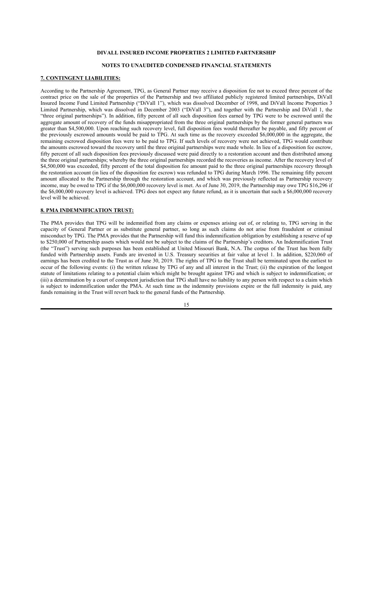## **NOTES TO UNAUDITED CONDENSED FINANCIAL STATEMENTS**

## **7. CONTINGENT LIABILITIES:**

According to the Partnership Agreement, TPG, as General Partner may receive a disposition fee not to exceed three percent of the contract price on the sale of the properties of the Partnership and two affiliated publicly registered limited partnerships, DiVall Insured Income Fund Limited Partnership ("DiVall 1"), which was dissolved December of 1998, and DiVall Income Properties 3 Limited Partnership, which was dissolved in December 2003 ("DiVall 3"), and together with the Partnership and DiVall 1, the "three original partnerships"). In addition, fifty percent of all such disposition fees earned by TPG were to be escrowed until the aggregate amount of recovery of the funds misappropriated from the three original partnerships by the former general partners was greater than \$4,500,000. Upon reaching such recovery level, full disposition fees would thereafter be payable, and fifty percent of the previously escrowed amounts would be paid to TPG. At such time as the recovery exceeded \$6,000,000 in the aggregate, the remaining escrowed disposition fees were to be paid to TPG. If such levels of recovery were not achieved, TPG would contribute the amounts escrowed toward the recovery until the three original partnerships were made whole. In lieu of a disposition fee escrow, fifty percent of all such disposition fees previously discussed were paid directly to a restoration account and then distributed among the three original partnerships; whereby the three original partnerships recorded the recoveries as income. After the recovery level of \$4,500,000 was exceeded, fifty percent of the total disposition fee amount paid to the three original partnerships recovery through the restoration account (in lieu of the disposition fee escrow) was refunded to TPG during March 1996. The remaining fifty percent amount allocated to the Partnership through the restoration account, and which was previously reflected as Partnership recovery income, may be owed to TPG if the \$6,000,000 recovery level is met. As of June 30, 2019, the Partnership may owe TPG \$16,296 if the \$6,000,000 recovery level is achieved. TPG does not expect any future refund, as it is uncertain that such a \$6,000,000 recovery level will be achieved.

#### **8. PMA INDEMNIFICATION TRUST:**

The PMA provides that TPG will be indemnified from any claims or expenses arising out of, or relating to, TPG serving in the capacity of General Partner or as substitute general partner, so long as such claims do not arise from fraudulent or criminal misconduct by TPG. The PMA provides that the Partnership will fund this indemnification obligation by establishing a reserve of up to \$250,000 of Partnership assets which would not be subject to the claims of the Partnership's creditors. An Indemnification Trust (the "Trust") serving such purposes has been established at United Missouri Bank, N.A. The corpus of the Trust has been fully funded with Partnership assets. Funds are invested in U.S. Treasury securities at fair value at level 1. In addition, \$220,060 of earnings has been credited to the Trust as of June 30, 2019. The rights of TPG to the Trust shall be terminated upon the earliest to occur of the following events: (i) the written release by TPG of any and all interest in the Trust; (ii) the expiration of the longest statute of limitations relating to a potential claim which might be brought against TPG and which is subject to indemnification; or (iii) a determination by a court of competent jurisdiction that TPG shall have no liability to any person with respect to a claim which is subject to indemnification under the PMA. At such time as the indemnity provisions expire or the full indemnity is paid, any funds remaining in the Trust will revert back to the general funds of the Partnership.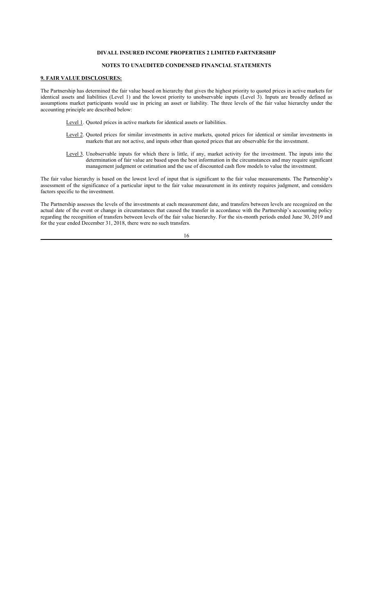## **NOTES TO UNAUDITED CONDENSED FINANCIAL STATEMENTS**

## **9. FAIR VALUE DISCLOSURES:**

The Partnership has determined the fair value based on hierarchy that gives the highest priority to quoted prices in active markets for identical assets and liabilities (Level 1) and the lowest priority to unobservable inputs (Level 3). Inputs are broadly defined as assumptions market participants would use in pricing an asset or liability. The three levels of the fair value hierarchy under the accounting principle are described below:

- Level 1. Quoted prices in active markets for identical assets or liabilities.
- Level 2. Quoted prices for similar investments in active markets, quoted prices for identical or similar investments in markets that are not active, and inputs other than quoted prices that are observable for the investment.
- Level 3. Unobservable inputs for which there is little, if any, market activity for the investment. The inputs into the determination of fair value are based upon the best information in the circumstances and may require significant management judgment or estimation and the use of discounted cash flow models to value the investment.

The fair value hierarchy is based on the lowest level of input that is significant to the fair value measurements. The Partnership's assessment of the significance of a particular input to the fair value measurement in its entirety requires judgment, and considers factors specific to the investment.

The Partnership assesses the levels of the investments at each measurement date, and transfers between levels are recognized on the actual date of the event or change in circumstances that caused the transfer in accordance with the Partnership's accounting policy regarding the recognition of transfers between levels of the fair value hierarchy. For the six-month periods ended June 30, 2019 and for the year ended December 31, 2018, there were no such transfers.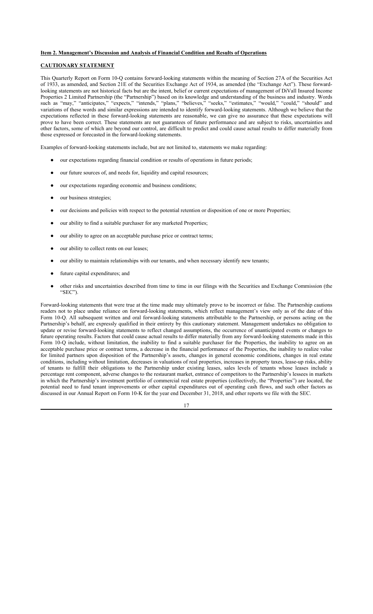## **Item 2. Management's Discussion and Analysis of Financial Condition and Results of Operations**

## **CAUTIONARY STATEMENT**

This Quarterly Report on Form 10-Q contains forward-looking statements within the meaning of Section 27A of the Securities Act of 1933, as amended, and Section 21E of the Securities Exchange Act of 1934, as amended (the "Exchange Act"). These forwardlooking statements are not historical facts but are the intent, belief or current expectations of management of DiVall Insured Income Properties 2 Limited Partnership (the "Partnership") based on its knowledge and understanding of the business and industry. Words such as "may," "anticipates," "expects," "intends," "plans," "believes," "seeks," "estimates," "would," "could," "should" and variations of these words and similar expressions are intended to identify forward-looking statements. Although we believe that the expectations reflected in these forward-looking statements are reasonable, we can give no assurance that these expectations will prove to have been correct. These statements are not guarantees of future performance and are subject to risks, uncertainties and other factors, some of which are beyond our control, are difficult to predict and could cause actual results to differ materially from those expressed or forecasted in the forward-looking statements.

Examples of forward-looking statements include, but are not limited to, statements we make regarding:

- our expectations regarding financial condition or results of operations in future periods;
- our future sources of, and needs for, liquidity and capital resources;
- our expectations regarding economic and business conditions;
- our business strategies;
- our decisions and policies with respect to the potential retention or disposition of one or more Properties;
- our ability to find a suitable purchaser for any marketed Properties;
- our ability to agree on an acceptable purchase price or contract terms;
- our ability to collect rents on our leases;
- our ability to maintain relationships with our tenants, and when necessary identify new tenants;
- future capital expenditures; and
- other risks and uncertainties described from time to time in our filings with the Securities and Exchange Commission (the "SEC").

Forward-looking statements that were true at the time made may ultimately prove to be incorrect or false. The Partnership cautions readers not to place undue reliance on forward-looking statements, which reflect management's view only as of the date of this Form 10-Q. All subsequent written and oral forward-looking statements attributable to the Partnership, or persons acting on the Partnership's behalf, are expressly qualified in their entirety by this cautionary statement. Management undertakes no obligation to update or revise forward-looking statements to reflect changed assumptions, the occurrence of unanticipated events or changes to future operating results. Factors that could cause actual results to differ materially from any forward-looking statements made in this Form 10-Q include, without limitation, the inability to find a suitable purchaser for the Properties, the inability to agree on an acceptable purchase price or contract terms, a decrease in the financial performance of the Properties, the inability to realize value for limited partners upon disposition of the Partnership's assets, changes in general economic conditions, changes in real estate conditions, including without limitation, decreases in valuations of real properties, increases in property taxes, lease-up risks, ability of tenants to fulfill their obligations to the Partnership under existing leases, sales levels of tenants whose leases include a percentage rent component, adverse changes to the restaurant market, entrance of competitors to the Partnership's lessees in markets in which the Partnership's investment portfolio of commercial real estate properties (collectively, the "Properties") are located, the potential need to fund tenant improvements or other capital expenditures out of operating cash flows, and such other factors as discussed in our Annual Report on Form 10-K for the year end December 31, 2018, and other reports we file with the SEC.

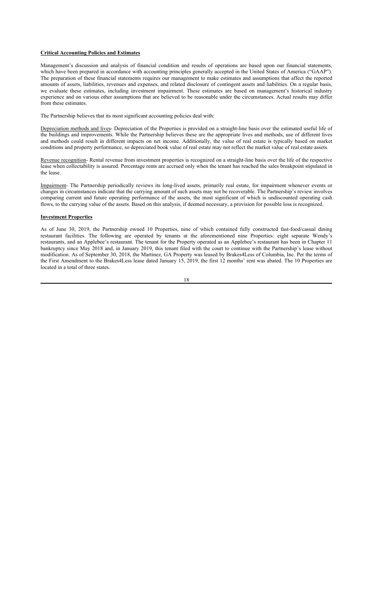#### **Critical Accounting Policies and Estimates**

Management's discussion and analysis of financial condition and results of operations are based upon our financial statements, which have been prepared in accordance with accounting principles generally accepted in the United States of America ("GAAP"). The preparation of these financial statements requires our management to make estimates and assumptions that affect the reported amounts of assets, liabilities, revenues and expenses, and related disclosure of contingent assets and liabilities. On a regular basis, we evaluate these estimates, including investment impairment. These estimates are based on management's historical industry experience and on various other assumptions that are believed to be reasonable under the circumstances. Actual results may differ from these estimates.

The Partnership believes that its most significant accounting policies deal with:

Depreciation methods and lives- Depreciation of the Properties is provided on a straight-line basis over the estimated useful life of the buildings and improvements. While the Partnership believes these are the appropriate lives and methods, use of different lives and methods could result in different impacts on net income. Additionally, the value of real estate is typically based on market conditions and property performance, so depreciated book value of real estate may not reflect the market value of real estate assets.

Revenue recognition- Rental revenue from investment properties is recognized on a straight-line basis over the life of the respective lease when collectability is assured. Percentage rents are accrued only when the tenant has reached the sales breakpoint stipulated in the lease.

Impairment- The Partnership periodically reviews its long-lived assets, primarily real estate, for impairment whenever events or changes in circumstances indicate that the carrying amount of such assets may not be recoverable. The Partnership's review involves comparing current and future operating performance of the assets, the most significant of which is undiscounted operating cash flows, to the carrying value of the assets. Based on this analysis, if deemed necessary, a provision for possible loss is recognized.

#### **Investment Properties**

As of June 30, 2019, the Partnership owned 10 Properties, nine of which contained fully constructed fast-food/casual dining restaurant facilities. The following are operated by tenants at the aforementioned nine Properties: eight separate Wendy's restaurants, and an Applebee's restaurant. The tenant for the Property operated as an Applebee's restaurant has been in Chapter 11 bankruptcy since May 2018 and, in January 2019, this tenant filed with the court to continue with the Partnership's lease without modification. As of September 30, 2018, the Martinez, GA Property was leased by Brakes4Less of Columbia, Inc. Per the terms of the First Amendment to the Brakes4Less lease dated January 15, 2019, the first 12 months' rent was abated. The 10 Properties are located in a total of three states.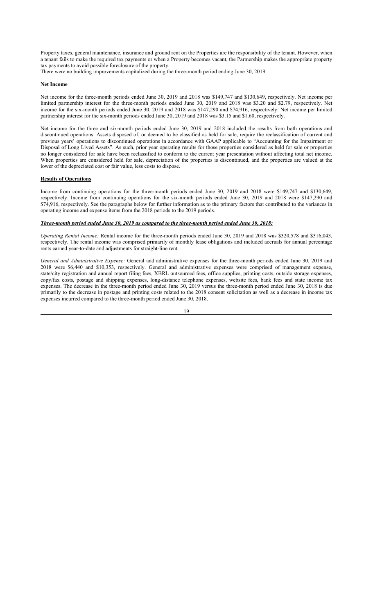Property taxes, general maintenance, insurance and ground rent on the Properties are the responsibility of the tenant. However, when a tenant fails to make the required tax payments or when a Property becomes vacant, the Partnership makes the appropriate property tax payments to avoid possible foreclosure of the property.

There were no building improvements capitalized during the three-month period ending June 30, 2019.

# **Net Income**

Net income for the three-month periods ended June 30, 2019 and 2018 was \$149,747 and \$130,649, respectively. Net income per limited partnership interest for the three-month periods ended June 30, 2019 and 2018 was \$3.20 and \$2.79, respectively. Net income for the six-month periods ended June 30, 2019 and 2018 was \$147,290 and \$74,916, respectively. Net income per limited partnership interest for the six-month periods ended June 30, 2019 and 2018 was \$3.15 and \$1.60, respectively.

Net income for the three and six-month periods ended June 30, 2019 and 2018 included the results from both operations and discontinued operations. Assets disposed of, or deemed to be classified as held for sale, require the reclassification of current and previous years' operations to discontinued operations in accordance with GAAP applicable to "Accounting for the Impairment or Disposal of Long Lived Assets". As such, prior year operating results for those properties considered as held for sale or properties no longer considered for sale have been reclassified to conform to the current year presentation without affecting total net income. When properties are considered held for sale, depreciation of the properties is discontinued, and the properties are valued at the lower of the depreciated cost or fair value, less costs to dispose.

# **Results of Operations**

Income from continuing operations for the three-month periods ended June 30, 2019 and 2018 were \$149,747 and \$130,649, respectively. Income from continuing operations for the six-month periods ended June 30, 2019 and 2018 were \$147,290 and \$74,916, respectively. See the paragraphs below for further information as to the primary factors that contributed to the variances in operating income and expense items from the 2018 periods to the 2019 periods.

# *Three-month period ended June 30, 2019 as compared to the three-month period ended June 30, 2018:*

*Operating Rental Income:* Rental income for the three-month periods ended June 30, 2019 and 2018 was \$320,578 and \$316,043, respectively. The rental income was comprised primarily of monthly lease obligations and included accruals for annual percentage rents earned year-to-date and adjustments for straight-line rent.

*General and Administrative Expense:* General and administrative expenses for the three-month periods ended June 30, 2019 and 2018 were \$6,440 and \$10,353, respectively. General and administrative expenses were comprised of management expense, state/city registration and annual report filing fees, XBRL outsourced fees, office supplies, printing costs, outside storage expenses, copy/fax costs, postage and shipping expenses, long-distance telephone expenses, website fees, bank fees and state income tax expenses. The decrease in the three-month period ended June 30, 2019 versus the three-month period ended June 30, 2018 is due primarily to the decrease in postage and printing costs related to the 2018 consent solicitation as well as a decrease in income tax expenses incurred compared to the three-month period ended June 30, 2018.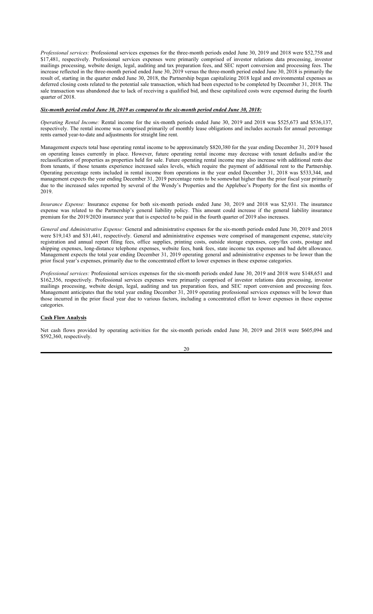*Professional services:* Professional services expenses for the three-month periods ended June 30, 2019 and 2018 were \$52,758 and \$17,481, respectively. Professional services expenses were primarily comprised of investor relations data processing, investor mailings processing, website design, legal, auditing and tax preparation fees, and SEC report conversion and processing fees. The increase reflected in the three-month period ended June 30, 2019 versus the three-month period ended June 30, 2018 is primarily the result of, starting in the quarter ended June 30, 2018, the Partnership began capitalizing 2018 legal and environmental expenses as deferred closing costs related to the potential sale transaction, which had been expected to be completed by December 31, 2018. The sale transaction was abandoned due to lack of receiving a qualified bid, and these capitalized costs were expensed during the fourth quarter of 2018.

#### *Six-month period ended June 30, 2019 as compared to the six-month period ended June 30, 2018:*

*Operating Rental Income:* Rental income for the six-month periods ended June 30, 2019 and 2018 was \$525,673 and \$536,137, respectively. The rental income was comprised primarily of monthly lease obligations and includes accruals for annual percentage rents earned year-to-date and adjustments for straight line rent.

Management expects total base operating rental income to be approximately \$820,380 for the year ending December 31, 2019 based on operating leases currently in place. However, future operating rental income may decrease with tenant defaults and/or the reclassification of properties as properties held for sale. Future operating rental income may also increase with additional rents due from tenants, if those tenants experience increased sales levels, which require the payment of additional rent to the Partnership. Operating percentage rents included in rental income from operations in the year ended December 31, 2018 was \$533,344, and management expects the year ending December 31, 2019 percentage rents to be somewhat higher than the prior fiscal year primarily due to the increased sales reported by several of the Wendy's Properties and the Applebee's Property for the first six months of 2019.

*Insurance Expense:* Insurance expense for both six-month periods ended June 30, 2019 and 2018 was \$2,931. The insurance expense was related to the Partnership's general liability policy. This amount could increase if the general liability insurance premium for the 2019/2020 insurance year that is expected to be paid in the fourth quarter of 2019 also increases.

*General and Administrative Expense:* General and administrative expenses for the six-month periods ended June 30, 2019 and 2018 were \$19,143 and \$31,441, respectively. General and administrative expenses were comprised of management expense, state/city registration and annual report filing fees, office supplies, printing costs, outside storage expenses, copy/fax costs, postage and shipping expenses, long-distance telephone expenses, website fees, bank fees, state income tax expenses and bad debt allowance. Management expects the total year ending December 31, 2019 operating general and administrative expenses to be lower than the prior fiscal year's expenses, primarily due to the concentrated effort to lower expenses in these expense categories.

*Professional services:* Professional services expenses for the six-month periods ended June 30, 2019 and 2018 were \$148,651 and \$162,356, respectively. Professional services expenses were primarily comprised of investor relations data processing, investor mailings processing, website design, legal, auditing and tax preparation fees, and SEC report conversion and processing fees. Management anticipates that the total year ending December 31, 2019 operating professional services expenses will be lower than those incurred in the prior fiscal year due to various factors, including a concentrated effort to lower expenses in these expense categories.

## **Cash Flow Analysis**

Net cash flows provided by operating activities for the six-month periods ended June 30, 2019 and 2018 were \$605,094 and \$592,360, respectively.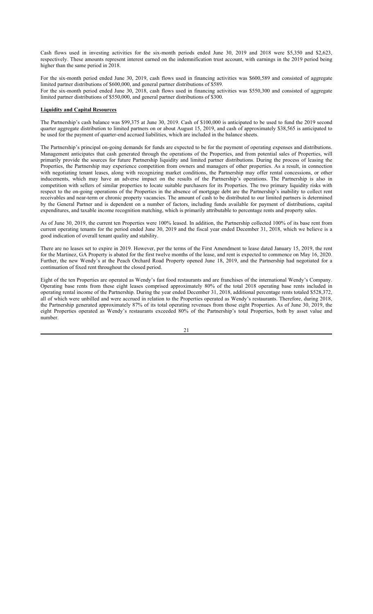Cash flows used in investing activities for the six-month periods ended June 30, 2019 and 2018 were \$5,350 and \$2,623, respectively. These amounts represent interest earned on the indemnification trust account, with earnings in the 2019 period being higher than the same period in 2018.

For the six-month period ended June 30, 2019, cash flows used in financing activities was \$600,589 and consisted of aggregate limited partner distributions of \$600,000, and general partner distributions of \$589.

For the six-month period ended June 30, 2018, cash flows used in financing activities was \$550,300 and consisted of aggregate limited partner distributions of \$550,000, and general partner distributions of \$300.

#### **Liquidity and Capital Resources**

The Partnership's cash balance was \$99,375 at June 30, 2019. Cash of \$100,000 is anticipated to be used to fund the 2019 second quarter aggregate distribution to limited partners on or about August 15, 2019, and cash of approximately \$38,565 is anticipated to be used for the payment of quarter-end accrued liabilities, which are included in the balance sheets.

The Partnership's principal on-going demands for funds are expected to be for the payment of operating expenses and distributions. Management anticipates that cash generated through the operations of the Properties, and from potential sales of Properties, will primarily provide the sources for future Partnership liquidity and limited partner distributions. During the process of leasing the Properties, the Partnership may experience competition from owners and managers of other properties. As a result, in connection with negotiating tenant leases, along with recognizing market conditions, the Partnership may offer rental concessions, or other inducements, which may have an adverse impact on the results of the Partnership's operations. The Partnership is also in competition with sellers of similar properties to locate suitable purchasers for its Properties. The two primary liquidity risks with respect to the on-going operations of the Properties in the absence of mortgage debt are the Partnership's inability to collect rent receivables and near-term or chronic property vacancies. The amount of cash to be distributed to our limited partners is determined by the General Partner and is dependent on a number of factors, including funds available for payment of distributions, capital expenditures, and taxable income recognition matching, which is primarily attributable to percentage rents and property sales.

As of June 30, 2019, the current ten Properties were 100% leased. In addition, the Partnership collected 100% of its base rent from current operating tenants for the period ended June 30, 2019 and the fiscal year ended December 31, 2018, which we believe is a good indication of overall tenant quality and stability.

There are no leases set to expire in 2019. However, per the terms of the First Amendment to lease dated January 15, 2019, the rent for the Martinez, GA Property is abated for the first twelve months of the lease, and rent is expected to commence on May 16, 2020. Further, the new Wendy's at the Peach Orchard Road Property opened June 18, 2019, and the Partnership had negotiated for a continuation of fixed rent throughout the closed period.

Eight of the ten Properties are operated as Wendy's fast food restaurants and are franchises of the international Wendy's Company. Operating base rents from these eight leases comprised approximately 80% of the total 2018 operating base rents included in operating rental income of the Partnership. During the year ended December 31, 2018, additional percentage rents totaled \$528,372, all of which were unbilled and were accrued in relation to the Properties operated as Wendy's restaurants. Therefore, during 2018, the Partnership generated approximately 87% of its total operating revenues from those eight Properties. As of June 30, 2019, the eight Properties operated as Wendy's restaurants exceeded 80% of the Partnership's total Properties, both by asset value and number.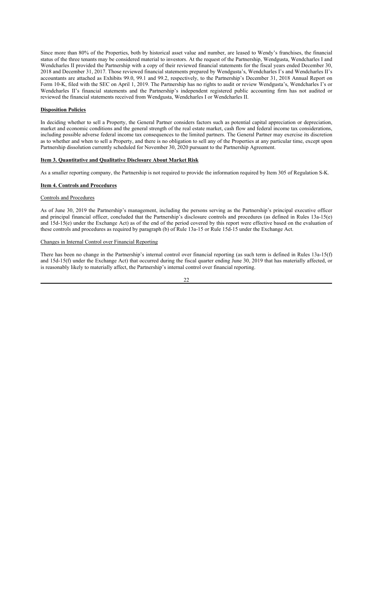Since more than 80% of the Properties, both by historical asset value and number, are leased to Wendy's franchises, the financial status of the three tenants may be considered material to investors. At the request of the Partnership, Wendgusta, Wendcharles I and Wendcharles II provided the Partnership with a copy of their reviewed financial statements for the fiscal years ended December 30, 2018 and December 31, 2017. Those reviewed financial statements prepared by Wendgusta's, Wendcharles I's and Wendcharles II's accountants are attached as Exhibits 99.0, 99.1 and 99.2, respectively, to the Partnership's December 31, 2018 Annual Report on Form 10-K, filed with the SEC on April 1, 2019. The Partnership has no rights to audit or review Wendgusta's, Wendcharles I's or Wendcharles II's financial statements and the Partnership's independent registered public accounting firm has not audited or reviewed the financial statements received from Wendgusta, Wendcharles I or Wendcharles II.

#### **Disposition Policies**

In deciding whether to sell a Property, the General Partner considers factors such as potential capital appreciation or depreciation, market and economic conditions and the general strength of the real estate market, cash flow and federal income tax considerations, including possible adverse federal income tax consequences to the limited partners. The General Partner may exercise its discretion as to whether and when to sell a Property, and there is no obligation to sell any of the Properties at any particular time, except upon Partnership dissolution currently scheduled for November 30, 2020 pursuant to the Partnership Agreement.

## **Item 3. Quantitative and Qualitative Disclosure About Market Risk**

As a smaller reporting company, the Partnership is not required to provide the information required by Item 305 of Regulation S-K.

#### **Item 4. Controls and Procedures**

#### Controls and Procedures

As of June 30, 2019 the Partnership's management, including the persons serving as the Partnership's principal executive officer and principal financial officer, concluded that the Partnership's disclosure controls and procedures (as defined in Rules 13a-15(e) and 15d-15(e) under the Exchange Act) as of the end of the period covered by this report were effective based on the evaluation of these controls and procedures as required by paragraph (b) of Rule 13a-15 or Rule 15d-15 under the Exchange Act.

#### Changes in Internal Control over Financial Reporting

There has been no change in the Partnership's internal control over financial reporting (as such term is defined in Rules 13a-15(f) and 15d-15(f) under the Exchange Act) that occurred during the fiscal quarter ending June 30, 2019 that has materially affected, or is reasonably likely to materially affect, the Partnership's internal control over financial reporting.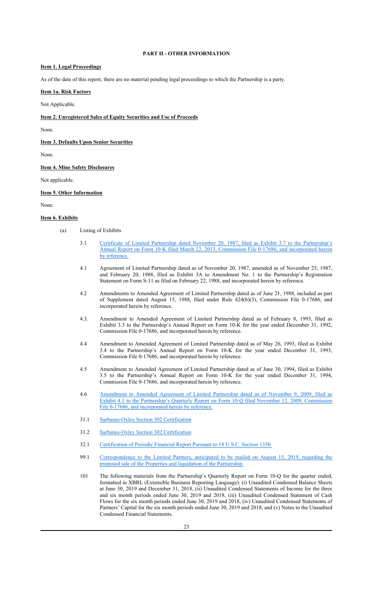## **PART II - OTHER INFORMATION**

#### **Item 1. Legal Proceedings**

As of the date of this report, there are no material pending legal proceedings to which the Partnership is a party.

#### **Item 1a. Risk Factors**

Not Applicable.

## **Item 2. Unregistered Sales of Equity Securities and Use of Proceeds**

None.

#### **Item 3. Defaults Upon Senior Securities**

None.

#### **Item 4. Mine Safety Disclosures**

Not applicable.

## **Item 5. Other Information**

None.

## **Item 6. Exhibits**

- (a) Listing of Exhibits
	- 3.1 Certificate of Limited Partnership dated November 20, 1987, filed as Exhibit 3.7 to the Partnership's Annual Report on Form 10-K filed March 22, 2013, Commission File 0-17686, and incorporated herein by reference.
	- 4.1 Agreement of Limited Partnership dated as of November 20, 1987, amended as of November 25, 1987, and February 20, 1988, filed as Exhibit 3A to Amendment No. 1 to the Partnership's Registration Statement on Form S-11 as filed on February 22, 1988, and incorporated herein by reference.
	- 4.2 Amendments to Amended Agreement of Limited Partnership dated as of June 21, 1988, included as part of Supplement dated August 15, 1988, filed under Rule 424(b)(3), Commission File 0-17686, and incorporated herein by reference.
	- 4.3. Amendment to Amended Agreement of Limited Partnership dated as of February 8, 1993, filed as Exhibit 3.3 to the Partnership's Annual Report on Form 10-K for the year ended December 31, 1992, Commission File 0-17686, and incorporated herein by reference.
	- 4.4 Amendment to Amended Agreement of Limited Partnership dated as of May 26, 1993, filed as Exhibit 3.4 to the Partnership's Annual Report on Form 10-K for the year ended December 31, 1993, Commission File 0-17686, and incorporated herein by reference.
	- 4.5 Amendment to Amended Agreement of Limited Partnership dated as of June 30, 1994, filed as Exhibit 3.5 to the Partnership's Annual Report on Form 10-K for the year ended December 31, 1994, Commission File 0-17686, and incorporated herein by reference.
	- 4.6 Amendment to Amended Agreement of Limited Partnership dated as of November 9, 2009, filed as Exhibit 4.1 to the Partnership's Quarterly Report on Form 10-Q filed November 12, 2009, Commission File 0-17686, and incorporated herein by reference.
	- 31.1 Sarbanes-Oxley Section 302 Certification
	- 31.2 Sarbanes-Oxley Section 302 Certification
	- 32.1 Certification of Periodic Financial Report Pursuant to 18 U.S.C. Section 1350.
	- 99.1 Correspondence to the Limited Partners, anticipated to be mailed on August 15, 2019, regarding the proposed sale of the Properties and liquidation of the Partnership.
	- 101 The following materials from the Partnership's Quarterly Report on Form 10-Q for the quarter ended, formatted in XBRL (Extensible Business Reporting Language): (i) Unaudited Condensed Balance Sheets at June 30, 2019 and December 31, 2018, (ii) Unaudited Condensed Statements of Income for the three and six month periods ended June 30, 2019 and 2018, (iii) Unaudited Condensed Statement of Cash Flows for the six month periods ended June 30, 2019 and 2018, (iv) Unaudited Condensed Statements of Partners' Capital for the six month periods ended June 30, 2019 and 2018, and (v) Notes to the Unaudited Condensed Financial Statements.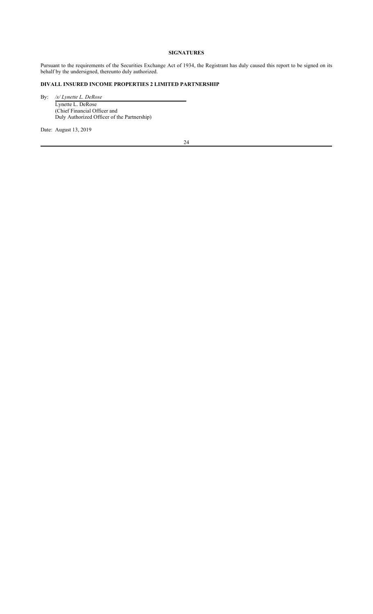# **SIGNATURES**

Pursuant to the requirements of the Securities Exchange Act of 1934, the Registrant has duly caused this report to be signed on its behalf by the undersigned, thereunto duly authorized.

# **DIVALL INSURED INCOME PROPERTIES 2 LIMITED PARTNERSHIP**

By: */s/ Lynette L. DeRose* Lynette L. DeRose (Chief Financial Officer and Duly Authorized Officer of the Partnership)

Date: August 13, 2019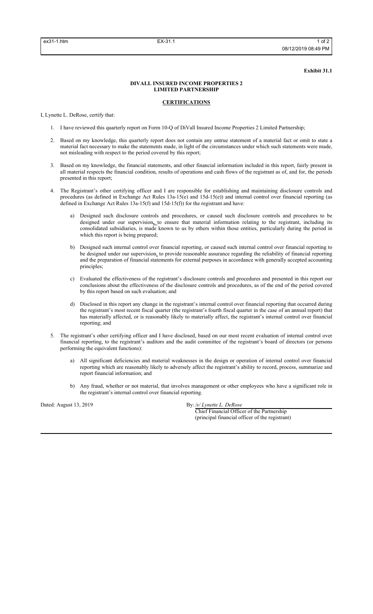#### **Exhibit 31.1**

#### **DIVALL INSURED INCOME PROPERTIES 2 LIMITED PARTNERSHIP**

## **CERTIFICATIONS**

I, Lynette L. DeRose, certify that:

- 1. I have reviewed this quarterly report on Form 10-Q of DiVall Insured Income Properties 2 Limited Partnership;
- 2. Based on my knowledge, this quarterly report does not contain any untrue statement of a material fact or omit to state a material fact necessary to make the statements made, in light of the circumstances under which such statements were made, not misleading with respect to the period covered by this report;
- 3. Based on my knowledge, the financial statements, and other financial information included in this report, fairly present in all material respects the financial condition, results of operations and cash flows of the registrant as of, and for, the periods presented in this report;
- 4. The Registrant's other certifying officer and I are responsible for establishing and maintaining disclosure controls and procedures (as defined in Exchange Act Rules  $13a-15(e)$  and  $15d-15(e)$ ) and internal control over financial reporting (as defined in Exchange Act Rules 13a-15(f) and 15d-15(f)) for the registrant and have:
	- a) Designed such disclosure controls and procedures, or caused such disclosure controls and procedures to be designed under our supervision**,** to ensure that material information relating to the registrant, including its consolidated subsidiaries, is made known to us by others within those entities, particularly during the period in which this report is being prepared;
	- b) Designed such internal control over financial reporting, or caused such internal control over financial reporting to be designed under our supervision, to provide reasonable assurance regarding the reliability of financial reporting and the preparation of financial statements for external purposes in accordance with generally accepted accounting principles;
	- c) Evaluated the effectiveness of the registrant's disclosure controls and procedures and presented in this report our conclusions about the effectiveness of the disclosure controls and procedures, as of the end of the period covered by this report based on such evaluation; and
	- d) Disclosed in this report any change in the registrant's internal control over financial reporting that occurred during the registrant's most recent fiscal quarter (the registrant's fourth fiscal quarter in the case of an annual report) that has materially affected, or is reasonably likely to materially affect, the registrant's internal control over financial reporting; and
- 5. The registrant's other certifying officer and I have disclosed, based on our most recent evaluation of internal control over financial reporting, to the registrant's auditors and the audit committee of the registrant's board of directors (or persons performing the equivalent functions):
	- a) All significant deficiencies and material weaknesses in the design or operation of internal control over financial reporting which are reasonably likely to adversely affect the registrant's ability to record, process, summarize and report financial information; and
	- b) Any fraud, whether or not material, that involves management or other employees who have a significant role in the registrant's internal control over financial reporting.

Dated: August 13, 2019 **By:** /s/ Lynette L. DeRose

Chief Financial Officer of the Partnership (principal financial officer of the registrant)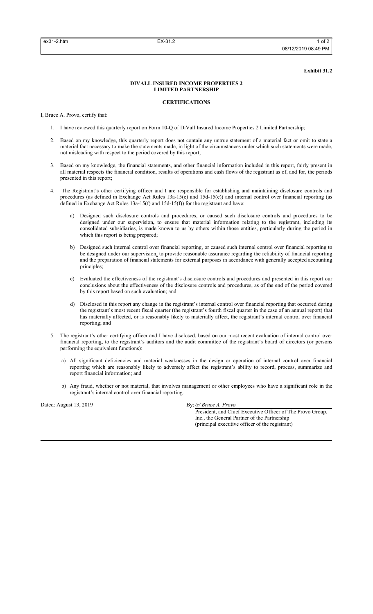#### **Exhibit 31.2**

#### **DIVALL INSURED INCOME PROPERTIES 2 LIMITED PARTNERSHIP**

## **CERTIFICATIONS**

I, Bruce A. Provo, certify that:

- 1. I have reviewed this quarterly report on Form 10-Q of DiVall Insured Income Properties 2 Limited Partnership;
- 2. Based on my knowledge, this quarterly report does not contain any untrue statement of a material fact or omit to state a material fact necessary to make the statements made, in light of the circumstances under which such statements were made, not misleading with respect to the period covered by this report;
- 3. Based on my knowledge, the financial statements, and other financial information included in this report, fairly present in all material respects the financial condition, results of operations and cash flows of the registrant as of, and for, the periods presented in this report;
- 4. The Registrant's other certifying officer and I are responsible for establishing and maintaining disclosure controls and procedures (as defined in Exchange Act Rules  $13a-15(e)$  and  $15d-15(e)$ ) and internal control over financial reporting (as defined in Exchange Act Rules 13a-15(f) and 15d-15(f)) for the registrant and have:
	- a) Designed such disclosure controls and procedures, or caused such disclosure controls and procedures to be designed under our supervision**,** to ensure that material information relating to the registrant, including its consolidated subsidiaries, is made known to us by others within those entities, particularly during the period in which this report is being prepared;
	- b) Designed such internal control over financial reporting, or caused such internal control over financial reporting to be designed under our supervision, to provide reasonable assurance regarding the reliability of financial reporting and the preparation of financial statements for external purposes in accordance with generally accepted accounting principles;
	- c) Evaluated the effectiveness of the registrant's disclosure controls and procedures and presented in this report our conclusions about the effectiveness of the disclosure controls and procedures, as of the end of the period covered by this report based on such evaluation; and
	- d) Disclosed in this report any change in the registrant's internal control over financial reporting that occurred during the registrant's most recent fiscal quarter (the registrant's fourth fiscal quarter in the case of an annual report) that has materially affected, or is reasonably likely to materially affect, the registrant's internal control over financial reporting; and
- 5. The registrant's other certifying officer and I have disclosed, based on our most recent evaluation of internal control over financial reporting, to the registrant's auditors and the audit committee of the registrant's board of directors (or persons performing the equivalent functions):
	- a) All significant deficiencies and material weaknesses in the design or operation of internal control over financial reporting which are reasonably likely to adversely affect the registrant's ability to record, process, summarize and report financial information; and
	- b) Any fraud, whether or not material, that involves management or other employees who have a significant role in the registrant's internal control over financial reporting.

Dated: August 13, 2019 **By:** */s/ Bruce A. Provo* 

President, and Chief Executive Officer of The Provo Group, Inc., the General Partner of the Partnership (principal executive officer of the registrant)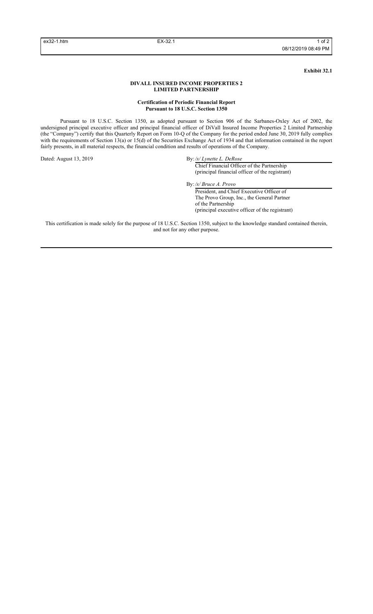#### **Exhibit 32.1**

#### **DIVALL INSURED INCOME PROPERTIES 2 LIMITED PARTNERSHIP**

#### **Certification of Periodic Financial Report Pursuant to 18 U.S.C. Section 1350**

Pursuant to 18 U.S.C. Section 1350, as adopted pursuant to Section 906 of the Sarbanes-Oxley Act of 2002, the undersigned principal executive officer and principal financial officer of DiVall Insured Income Properties 2 Limited Partnership (the "Company") certify that this Quarterly Report on Form 10-Q of the Company for the period ended June 30, 2019 fully complies with the requirements of Section 13(a) or 15(d) of the Securities Exchange Act of 1934 and that information contained in the report fairly presents, in all material respects, the financial condition and results of operations of the Company.

Dated: August 13, 2019 By: /s/ Lynette L. DeRose

Chief Financial Officer of the Partnership (principal financial officer of the registrant)

By: */s/ Bruce A. Provo*

President, and Chief Executive Officer of The Provo Group, Inc., the General Partner of the Partnership (principal executive officer of the registrant)

This certification is made solely for the purpose of 18 U.S.C. Section 1350, subject to the knowledge standard contained therein, and not for any other purpose.